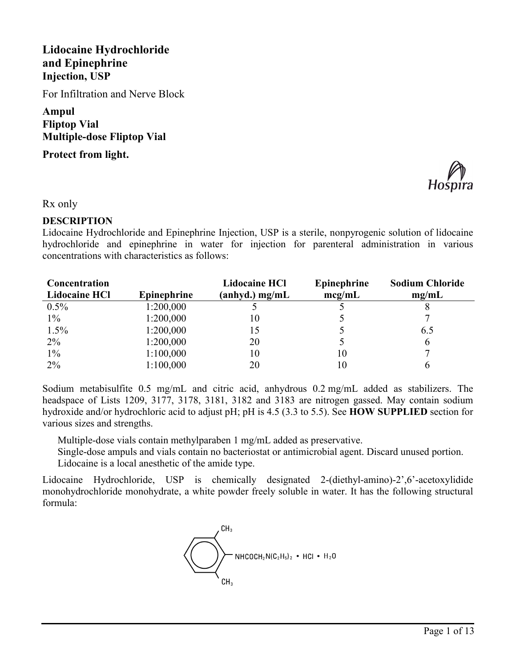# **Lidocaine Hydrochloride and Epinephrine Injection, USP**

For Infiltration and Nerve Block

# **Ampul Fliptop Vial Multiple-dose Fliptop Vial**

**Protect from light.**



Rx only

#### **DESCRIPTION**

Lidocaine Hydrochloride and Epinephrine Injection, USP is a sterile, nonpyrogenic solution of lidocaine hydrochloride and epinephrine in water for injection for parenteral administration in various concentrations with characteristics as follows:

| Concentration<br><b>Lidocaine HCl</b> | Epinephrine | Lidocaine HCl<br>(anhyd.) mg/mL | Epinephrine<br>mcg/mL | <b>Sodium Chloride</b><br>mg/mL |
|---------------------------------------|-------------|---------------------------------|-----------------------|---------------------------------|
| $0.5\%$                               | 1:200,000   |                                 |                       |                                 |
| $1\%$                                 | 1:200,000   | 10                              |                       |                                 |
| 1.5%                                  | 1:200,000   | 15                              |                       | 6.5                             |
| $2\%$                                 | 1:200,000   | 20                              |                       | O                               |
| $1\%$                                 | 1:100,000   | 10                              | 10                    |                                 |
| $2\%$                                 | 1:100,000   | 20                              | 10                    |                                 |

Sodium metabisulfite 0.5 mg/mL and citric acid, anhydrous 0.2 mg/mL added as stabilizers. The headspace of Lists 1209, 3177, 3178, 3181, 3182 and 3183 are nitrogen gassed. May contain sodium hydroxide and/or hydrochloric acid to adjust pH; pH is 4.5 (3.3 to 5.5). See **HOW SUPPLIED** section for various sizes and strengths.

Multiple-dose vials contain methylparaben 1 mg/mL added as preservative.

Single-dose ampuls and vials contain no bacteriostat or antimicrobial agent. Discard unused portion. Lidocaine is a local anesthetic of the amide type.

Lidocaine Hydrochloride, USP is chemically designated 2-(diethyl-amino)-2',6'-acetoxylidide monohydrochloride monohydrate, a white powder freely soluble in water. It has the following structural formula:

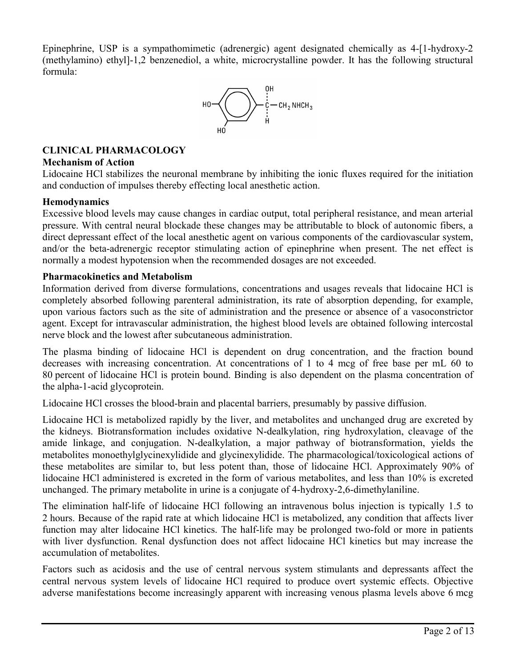Epinephrine, USP is a sympathomimetic (adrenergic) agent designated chemically as 4-[1-hydroxy-2 (methylamino) ethyl]-1,2 benzenediol, a white, microcrystalline powder. It has the following structural formula:



## **CLINICAL PHARMACOLOGY**

#### **Mechanism of Action**

Lidocaine HCl stabilizes the neuronal membrane by inhibiting the ionic fluxes required for the initiation and conduction of impulses thereby effecting local anesthetic action.

### **Hemodynamics**

Excessive blood levels may cause changes in cardiac output, total peripheral resistance, and mean arterial pressure. With central neural blockade these changes may be attributable to block of autonomic fibers, a direct depressant effect of the local anesthetic agent on various components of the cardiovascular system, and/or the beta-adrenergic receptor stimulating action of epinephrine when present. The net effect is normally a modest hypotension when the recommended dosages are not exceeded.

#### **Pharmacokinetics and Metabolism**

Information derived from diverse formulations, concentrations and usages reveals that lidocaine HCl is completely absorbed following parenteral administration, its rate of absorption depending, for example, upon various factors such as the site of administration and the presence or absence of a vasoconstrictor agent. Except for intravascular administration, the highest blood levels are obtained following intercostal nerve block and the lowest after subcutaneous administration.

The plasma binding of lidocaine HCl is dependent on drug concentration, and the fraction bound decreases with increasing concentration. At concentrations of 1 to 4 mcg of free base per mL 60 to 80 percent of lidocaine HCl is protein bound. Binding is also dependent on the plasma concentration of the alpha-1-acid glycoprotein.

Lidocaine HCl crosses the blood-brain and placental barriers, presumably by passive diffusion.

Lidocaine HCl is metabolized rapidly by the liver, and metabolites and unchanged drug are excreted by the kidneys. Biotransformation includes oxidative N-dealkylation, ring hydroxylation, cleavage of the amide linkage, and conjugation. N-dealkylation, a major pathway of biotransformation, yields the metabolites monoethylglycinexylidide and glycinexylidide. The pharmacological/toxicological actions of these metabolites are similar to, but less potent than, those of lidocaine HCl. Approximately 90% of lidocaine HCl administered is excreted in the form of various metabolites, and less than 10% is excreted unchanged. The primary metabolite in urine is a conjugate of 4-hydroxy-2,6-dimethylaniline.

The elimination half-life of lidocaine HCl following an intravenous bolus injection is typically 1.5 to 2 hours. Because of the rapid rate at which lidocaine HCl is metabolized, any condition that affects liver function may alter lidocaine HCl kinetics. The half-life may be prolonged two-fold or more in patients with liver dysfunction. Renal dysfunction does not affect lidocaine HCl kinetics but may increase the accumulation of metabolites.

Factors such as acidosis and the use of central nervous system stimulants and depressants affect the central nervous system levels of lidocaine HCl required to produce overt systemic effects. Objective adverse manifestations become increasingly apparent with increasing venous plasma levels above 6 mcg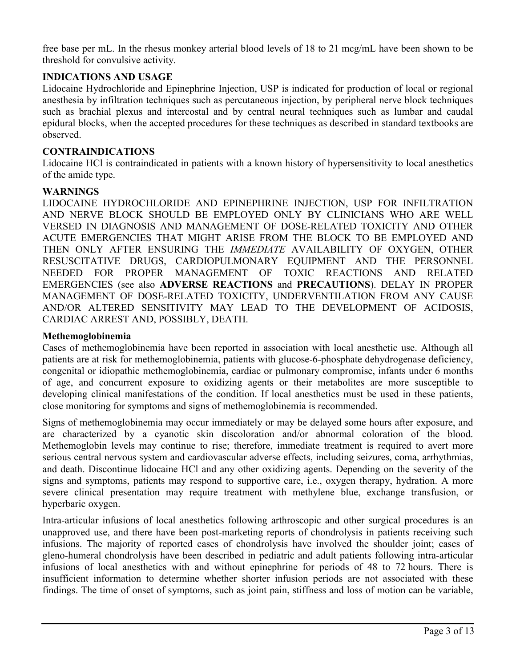free base per mL. In the rhesus monkey arterial blood levels of 18 to 21 mcg/mL have been shown to be threshold for convulsive activity.

## **INDICATIONS AND USAGE**

Lidocaine Hydrochloride and Epinephrine Injection, USP is indicated for production of local or regional anesthesia by infiltration techniques such as percutaneous injection, by peripheral nerve block techniques such as brachial plexus and intercostal and by central neural techniques such as lumbar and caudal epidural blocks, when the accepted procedures for these techniques as described in standard textbooks are observed.

### **CONTRAINDICATIONS**

Lidocaine HCl is contraindicated in patients with a known history of hypersensitivity to local anesthetics of the amide type.

#### **WARNINGS**

LIDOCAINE HYDROCHLORIDE AND EPINEPHRINE INJECTION, USP FOR INFILTRATION AND NERVE BLOCK SHOULD BE EMPLOYED ONLY BY CLINICIANS WHO ARE WELL VERSED IN DIAGNOSIS AND MANAGEMENT OF DOSE-RELATED TOXICITY AND OTHER ACUTE EMERGENCIES THAT MIGHT ARISE FROM THE BLOCK TO BE EMPLOYED AND THEN ONLY AFTER ENSURING THE *IMMEDIATE* AVAILABILITY OF OXYGEN, OTHER RESUSCITATIVE DRUGS, CARDIOPULMONARY EQUIPMENT AND THE PERSONNEL NEEDED FOR PROPER MANAGEMENT OF TOXIC REACTIONS AND RELATED EMERGENCIES (see also **ADVERSE REACTIONS** and **PRECAUTIONS**). DELAY IN PROPER MANAGEMENT OF DOSE-RELATED TOXICITY, UNDERVENTILATION FROM ANY CAUSE AND/OR ALTERED SENSITIVITY MAY LEAD TO THE DEVELOPMENT OF ACIDOSIS, CARDIAC ARREST AND, POSSIBLY, DEATH.

#### **Methemoglobinemia**

Cases of methemoglobinemia have been reported in association with local anesthetic use. Although all patients are at risk for methemoglobinemia, patients with glucose-6-phosphate dehydrogenase deficiency, congenital or idiopathic methemoglobinemia, cardiac or pulmonary compromise, infants under 6 months of age, and concurrent exposure to oxidizing agents or their metabolites are more susceptible to developing clinical manifestations of the condition. If local anesthetics must be used in these patients, close monitoring for symptoms and signs of methemoglobinemia is recommended.

Signs of methemoglobinemia may occur immediately or may be delayed some hours after exposure, and are characterized by a cyanotic skin discoloration and/or abnormal coloration of the blood. Methemoglobin levels may continue to rise; therefore, immediate treatment is required to avert more serious central nervous system and cardiovascular adverse effects, including seizures, coma, arrhythmias, and death. Discontinue lidocaine HCl and any other oxidizing agents. Depending on the severity of the signs and symptoms, patients may respond to supportive care, i.e., oxygen therapy, hydration. A more severe clinical presentation may require treatment with methylene blue, exchange transfusion, or hyperbaric oxygen.

Intra-articular infusions of local anesthetics following arthroscopic and other surgical procedures is an unapproved use, and there have been post-marketing reports of chondrolysis in patients receiving such infusions. The majority of reported cases of chondrolysis have involved the shoulder joint; cases of gleno-humeral chondrolysis have been described in pediatric and adult patients following intra-articular infusions of local anesthetics with and without epinephrine for periods of 48 to 72 hours. There is insufficient information to determine whether shorter infusion periods are not associated with these findings. The time of onset of symptoms, such as joint pain, stiffness and loss of motion can be variable,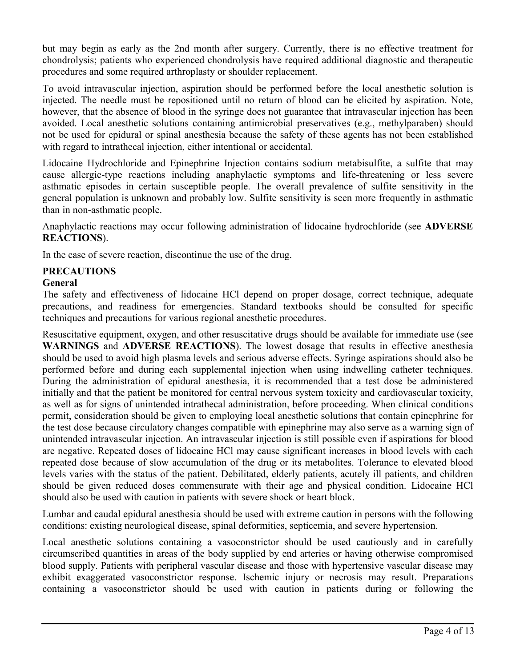but may begin as early as the 2nd month after surgery. Currently, there is no effective treatment for chondrolysis; patients who experienced chondrolysis have required additional diagnostic and therapeutic procedures and some required arthroplasty or shoulder replacement.

To avoid intravascular injection, aspiration should be performed before the local anesthetic solution is injected. The needle must be repositioned until no return of blood can be elicited by aspiration. Note, however, that the absence of blood in the syringe does not guarantee that intravascular injection has been avoided. Local anesthetic solutions containing antimicrobial preservatives (e.g., methylparaben) should not be used for epidural or spinal anesthesia because the safety of these agents has not been established with regard to intrathecal injection, either intentional or accidental.

Lidocaine Hydrochloride and Epinephrine Injection contains sodium metabisulfite, a sulfite that may cause allergic-type reactions including anaphylactic symptoms and life-threatening or less severe asthmatic episodes in certain susceptible people. The overall prevalence of sulfite sensitivity in the general population is unknown and probably low. Sulfite sensitivity is seen more frequently in asthmatic than in non-asthmatic people.

Anaphylactic reactions may occur following administration of lidocaine hydrochloride (see **ADVERSE REACTIONS**).

In the case of severe reaction, discontinue the use of the drug.

### **PRECAUTIONS**

### **General**

The safety and effectiveness of lidocaine HCl depend on proper dosage, correct technique, adequate precautions, and readiness for emergencies. Standard textbooks should be consulted for specific techniques and precautions for various regional anesthetic procedures.

Resuscitative equipment, oxygen, and other resuscitative drugs should be available for immediate use (see **WARNINGS** and **ADVERSE REACTIONS**). The lowest dosage that results in effective anesthesia should be used to avoid high plasma levels and serious adverse effects. Syringe aspirations should also be performed before and during each supplemental injection when using indwelling catheter techniques. During the administration of epidural anesthesia, it is recommended that a test dose be administered initially and that the patient be monitored for central nervous system toxicity and cardiovascular toxicity, as well as for signs of unintended intrathecal administration, before proceeding. When clinical conditions permit, consideration should be given to employing local anesthetic solutions that contain epinephrine for the test dose because circulatory changes compatible with epinephrine may also serve as a warning sign of unintended intravascular injection. An intravascular injection is still possible even if aspirations for blood are negative. Repeated doses of lidocaine HCl may cause significant increases in blood levels with each repeated dose because of slow accumulation of the drug or its metabolites. Tolerance to elevated blood levels varies with the status of the patient. Debilitated, elderly patients, acutely ill patients, and children should be given reduced doses commensurate with their age and physical condition. Lidocaine HCl should also be used with caution in patients with severe shock or heart block.

Lumbar and caudal epidural anesthesia should be used with extreme caution in persons with the following conditions: existing neurological disease, spinal deformities, septicemia, and severe hypertension.

Local anesthetic solutions containing a vasoconstrictor should be used cautiously and in carefully circumscribed quantities in areas of the body supplied by end arteries or having otherwise compromised blood supply. Patients with peripheral vascular disease and those with hypertensive vascular disease may exhibit exaggerated vasoconstrictor response. Ischemic injury or necrosis may result. Preparations containing a vasoconstrictor should be used with caution in patients during or following the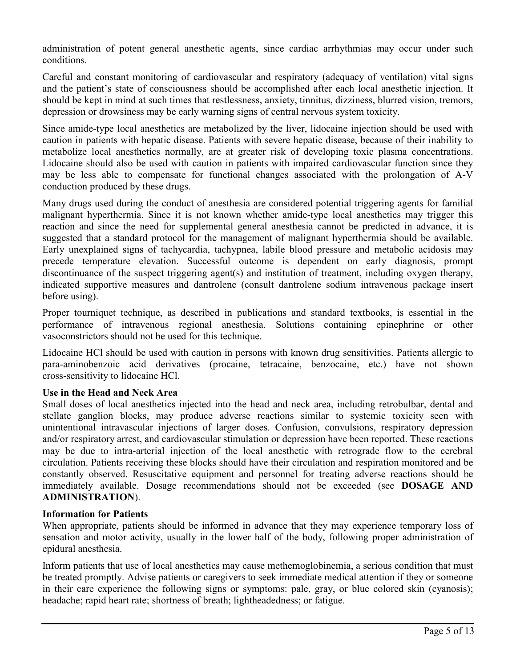administration of potent general anesthetic agents, since cardiac arrhythmias may occur under such conditions.

Careful and constant monitoring of cardiovascular and respiratory (adequacy of ventilation) vital signs and the patient's state of consciousness should be accomplished after each local anesthetic injection. It should be kept in mind at such times that restlessness, anxiety, tinnitus, dizziness, blurred vision, tremors, depression or drowsiness may be early warning signs of central nervous system toxicity.

Since amide-type local anesthetics are metabolized by the liver, lidocaine injection should be used with caution in patients with hepatic disease. Patients with severe hepatic disease, because of their inability to metabolize local anesthetics normally, are at greater risk of developing toxic plasma concentrations. Lidocaine should also be used with caution in patients with impaired cardiovascular function since they may be less able to compensate for functional changes associated with the prolongation of A-V conduction produced by these drugs.

Many drugs used during the conduct of anesthesia are considered potential triggering agents for familial malignant hyperthermia. Since it is not known whether amide-type local anesthetics may trigger this reaction and since the need for supplemental general anesthesia cannot be predicted in advance, it is suggested that a standard protocol for the management of malignant hyperthermia should be available. Early unexplained signs of tachycardia, tachypnea, labile blood pressure and metabolic acidosis may precede temperature elevation. Successful outcome is dependent on early diagnosis, prompt discontinuance of the suspect triggering agent(s) and institution of treatment, including oxygen therapy, indicated supportive measures and dantrolene (consult dantrolene sodium intravenous package insert before using).

Proper tourniquet technique, as described in publications and standard textbooks, is essential in the performance of intravenous regional anesthesia. Solutions containing epinephrine or other vasoconstrictors should not be used for this technique.

Lidocaine HCl should be used with caution in persons with known drug sensitivities. Patients allergic to para-aminobenzoic acid derivatives (procaine, tetracaine, benzocaine, etc.) have not shown cross-sensitivity to lidocaine HCl.

### **Use in the Head and Neck Area**

Small doses of local anesthetics injected into the head and neck area, including retrobulbar, dental and stellate ganglion blocks, may produce adverse reactions similar to systemic toxicity seen with unintentional intravascular injections of larger doses. Confusion, convulsions, respiratory depression and/or respiratory arrest, and cardiovascular stimulation or depression have been reported. These reactions may be due to intra-arterial injection of the local anesthetic with retrograde flow to the cerebral circulation. Patients receiving these blocks should have their circulation and respiration monitored and be constantly observed. Resuscitative equipment and personnel for treating adverse reactions should be immediately available. Dosage recommendations should not be exceeded (see **DOSAGE AND ADMINISTRATION**).

#### **Information for Patients**

When appropriate, patients should be informed in advance that they may experience temporary loss of sensation and motor activity, usually in the lower half of the body, following proper administration of epidural anesthesia.

Inform patients that use of local anesthetics may cause methemoglobinemia, a serious condition that must be treated promptly. Advise patients or caregivers to seek immediate medical attention if they or someone in their care experience the following signs or symptoms: pale, gray, or blue colored skin (cyanosis); headache; rapid heart rate; shortness of breath; lightheadedness; or fatigue.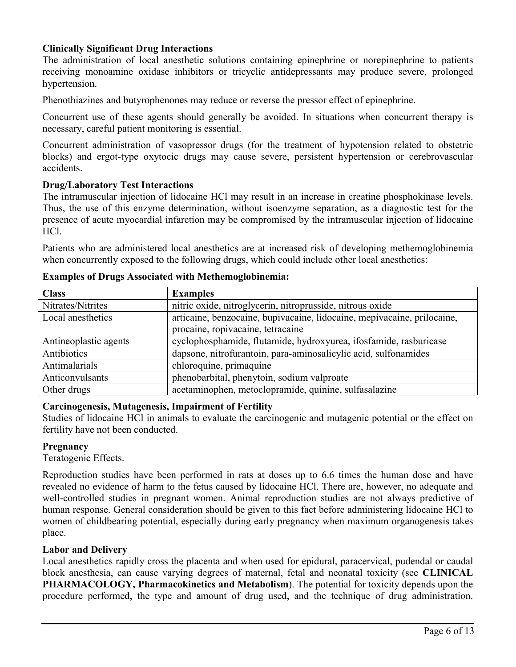## **Clinically Significant Drug Interactions**

The administration of local anesthetic solutions containing epinephrine or norepinephrine to patients receiving monoamine oxidase inhibitors or tricyclic antidepressants may produce severe, prolonged hypertension.

Phenothiazines and butyrophenones may reduce or reverse the pressor effect of epinephrine.

Concurrent use of these agents should generally be avoided. In situations when concurrent therapy is necessary, careful patient monitoring is essential.

Concurrent administration of vasopressor drugs (for the treatment of hypotension related to obstetric blocks) and ergot-type oxytocic drugs may cause severe, persistent hypertension or cerebrovascular accidents.

#### **Drug/Laboratory Test Interactions**

The intramuscular injection of lidocaine HCl may result in an increase in creatine phosphokinase levels. Thus, the use of this enzyme determination, without isoenzyme separation, as a diagnostic test for the presence of acute myocardial infarction may be compromised by the intramuscular injection of lidocaine HCl.

Patients who are administered local anesthetics are at increased risk of developing methemoglobinemia when concurrently exposed to the following drugs, which could include other local anesthetics:

| <b>Class</b>          | <b>Examples</b>                                                         |
|-----------------------|-------------------------------------------------------------------------|
| Nitrates/Nitrites     | nitric oxide, nitroglycerin, nitroprusside, nitrous oxide               |
| Local anesthetics     | articaine, benzocaine, bupivacaine, lidocaine, mepivacaine, prilocaine, |
|                       | procaine, ropivacaine, tetracaine                                       |
| Antineoplastic agents | cyclophosphamide, flutamide, hydroxyurea, ifosfamide, rasburicase       |
| Antibiotics           | dapsone, nitrofurantoin, para-aminosalicylic acid, sulfonamides         |
| Antimalarials         | chloroquine, primaquine                                                 |
| Anticonvulsants       | phenobarbital, phenytoin, sodium valproate                              |
| Other drugs           | acetaminophen, metoclopramide, quinine, sulfasalazine                   |

#### **Examples of Drugs Associated with Methemoglobinemia:**

#### **Carcinogenesis, Mutagenesis, Impairment of Fertility**

Studies of lidocaine HCl in animals to evaluate the carcinogenic and mutagenic potential or the effect on fertility have not been conducted.

### **Pregnancy**

Teratogenic Effects.

Reproduction studies have been performed in rats at doses up to 6.6 times the human dose and have revealed no evidence of harm to the fetus caused by lidocaine HCl. There are, however, no adequate and well-controlled studies in pregnant women. Animal reproduction studies are not always predictive of human response. General consideration should be given to this fact before administering lidocaine HCl to women of childbearing potential, especially during early pregnancy when maximum organogenesis takes place.

### **Labor and Delivery**

Local anesthetics rapidly cross the placenta and when used for epidural, paracervical, pudendal or caudal block anesthesia, can cause varying degrees of maternal, fetal and neonatal toxicity (see **CLINICAL PHARMACOLOGY, Pharmacokinetics and Metabolism**). The potential for toxicity depends upon the procedure performed, the type and amount of drug used, and the technique of drug administration.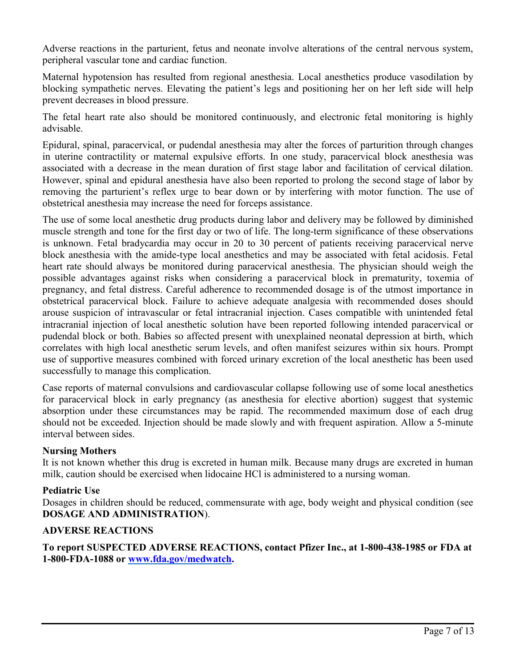Adverse reactions in the parturient, fetus and neonate involve alterations of the central nervous system, peripheral vascular tone and cardiac function.

Maternal hypotension has resulted from regional anesthesia. Local anesthetics produce vasodilation by blocking sympathetic nerves. Elevating the patient's legs and positioning her on her left side will help prevent decreases in blood pressure.

The fetal heart rate also should be monitored continuously, and electronic fetal monitoring is highly advisable.

Epidural, spinal, paracervical, or pudendal anesthesia may alter the forces of parturition through changes in uterine contractility or maternal expulsive efforts. In one study, paracervical block anesthesia was associated with a decrease in the mean duration of first stage labor and facilitation of cervical dilation. However, spinal and epidural anesthesia have also been reported to prolong the second stage of labor by removing the parturient's reflex urge to bear down or by interfering with motor function. The use of obstetrical anesthesia may increase the need for forceps assistance.

The use of some local anesthetic drug products during labor and delivery may be followed by diminished muscle strength and tone for the first day or two of life. The long-term significance of these observations is unknown. Fetal bradycardia may occur in 20 to 30 percent of patients receiving paracervical nerve block anesthesia with the amide-type local anesthetics and may be associated with fetal acidosis. Fetal heart rate should always be monitored during paracervical anesthesia. The physician should weigh the possible advantages against risks when considering a paracervical block in prematurity, toxemia of pregnancy, and fetal distress. Careful adherence to recommended dosage is of the utmost importance in obstetrical paracervical block. Failure to achieve adequate analgesia with recommended doses should arouse suspicion of intravascular or fetal intracranial injection. Cases compatible with unintended fetal intracranial injection of local anesthetic solution have been reported following intended paracervical or pudendal block or both. Babies so affected present with unexplained neonatal depression at birth, which correlates with high local anesthetic serum levels, and often manifest seizures within six hours. Prompt use of supportive measures combined with forced urinary excretion of the local anesthetic has been used successfully to manage this complication.

Case reports of maternal convulsions and cardiovascular collapse following use of some local anesthetics for paracervical block in early pregnancy (as anesthesia for elective abortion) suggest that systemic absorption under these circumstances may be rapid. The recommended maximum dose of each drug should not be exceeded. Injection should be made slowly and with frequent aspiration. Allow a 5-minute interval between sides.

### **Nursing Mothers**

It is not known whether this drug is excreted in human milk. Because many drugs are excreted in human milk, caution should be exercised when lidocaine HCl is administered to a nursing woman.

### **Pediatric Use**

Dosages in children should be reduced, commensurate with age, body weight and physical condition (see **DOSAGE AND ADMINISTRATION**).

### **ADVERSE REACTIONS**

**To report SUSPECTED ADVERSE REACTIONS, contact Pfizer Inc., at 1-800-438-1985 or FDA at 1-800-FDA-1088 or [www.fda.gov/medwatch](http://www.fda.gov/medwatch).**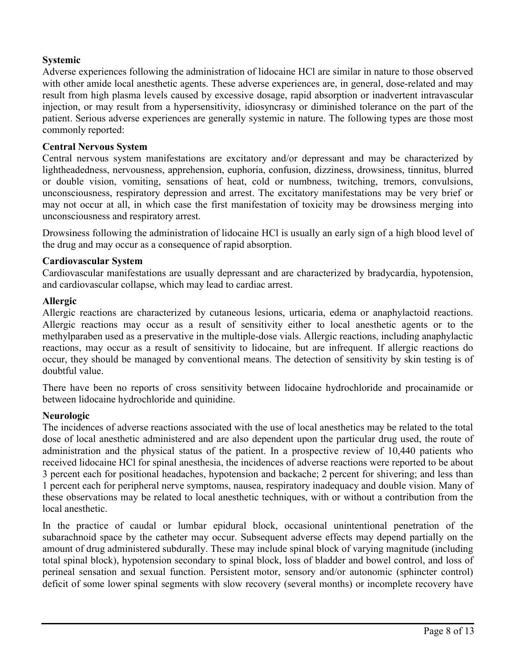## **Systemic**

Adverse experiences following the administration of lidocaine HCl are similar in nature to those observed with other amide local anesthetic agents. These adverse experiences are, in general, dose-related and may result from high plasma levels caused by excessive dosage, rapid absorption or inadvertent intravascular injection, or may result from a hypersensitivity, idiosyncrasy or diminished tolerance on the part of the patient. Serious adverse experiences are generally systemic in nature. The following types are those most commonly reported:

## **Central Nervous System**

Central nervous system manifestations are excitatory and/or depressant and may be characterized by lightheadedness, nervousness, apprehension, euphoria, confusion, dizziness, drowsiness, tinnitus, blurred or double vision, vomiting, sensations of heat, cold or numbness, twitching, tremors, convulsions, unconsciousness, respiratory depression and arrest. The excitatory manifestations may be very brief or may not occur at all, in which case the first manifestation of toxicity may be drowsiness merging into unconsciousness and respiratory arrest.

Drowsiness following the administration of lidocaine HCl is usually an early sign of a high blood level of the drug and may occur as a consequence of rapid absorption.

### **Cardiovascular System**

Cardiovascular manifestations are usually depressant and are characterized by bradycardia, hypotension, and cardiovascular collapse, which may lead to cardiac arrest.

### **Allergic**

Allergic reactions are characterized by cutaneous lesions, urticaria, edema or anaphylactoid reactions. Allergic reactions may occur as a result of sensitivity either to local anesthetic agents or to the methylparaben used as a preservative in the multiple-dose vials. Allergic reactions, including anaphylactic reactions, may occur as a result of sensitivity to lidocaine, but are infrequent. If allergic reactions do occur, they should be managed by conventional means. The detection of sensitivity by skin testing is of doubtful value.

There have been no reports of cross sensitivity between lidocaine hydrochloride and procainamide or between lidocaine hydrochloride and quinidine.

### **Neurologic**

The incidences of adverse reactions associated with the use of local anesthetics may be related to the total dose of local anesthetic administered and are also dependent upon the particular drug used, the route of administration and the physical status of the patient. In a prospective review of 10,440 patients who received lidocaine HCl for spinal anesthesia, the incidences of adverse reactions were reported to be about 3 percent each for positional headaches, hypotension and backache; 2 percent for shivering; and less than 1 percent each for peripheral nerve symptoms, nausea, respiratory inadequacy and double vision. Many of these observations may be related to local anesthetic techniques, with or without a contribution from the local anesthetic.

In the practice of caudal or lumbar epidural block, occasional unintentional penetration of the subarachnoid space by the catheter may occur. Subsequent adverse effects may depend partially on the amount of drug administered subdurally. These may include spinal block of varying magnitude (including total spinal block), hypotension secondary to spinal block, loss of bladder and bowel control, and loss of perineal sensation and sexual function. Persistent motor, sensory and/or autonomic (sphincter control) deficit of some lower spinal segments with slow recovery (several months) or incomplete recovery have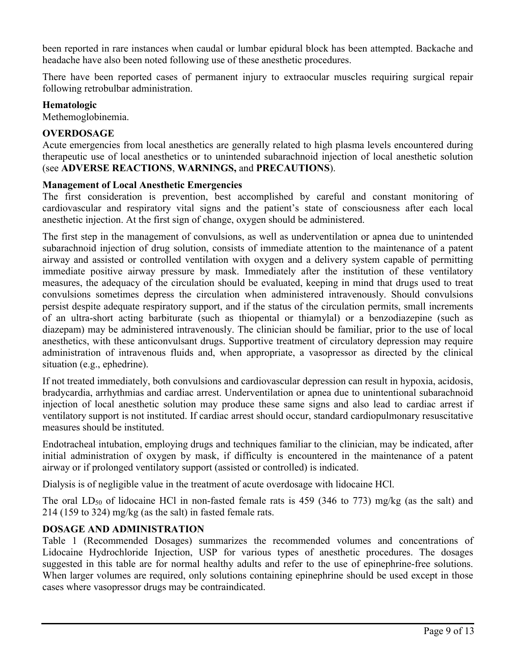been reported in rare instances when caudal or lumbar epidural block has been attempted. Backache and headache have also been noted following use of these anesthetic procedures.

There have been reported cases of permanent injury to extraocular muscles requiring surgical repair following retrobulbar administration.

### **Hematologic**

Methemoglobinemia.

## **OVERDOSAGE**

Acute emergencies from local anesthetics are generally related to high plasma levels encountered during therapeutic use of local anesthetics or to unintended subarachnoid injection of local anesthetic solution (see **ADVERSE REACTIONS**, **WARNINGS,** and **PRECAUTIONS**).

### **Management of Local Anesthetic Emergencies**

The first consideration is prevention, best accomplished by careful and constant monitoring of cardiovascular and respiratory vital signs and the patient's state of consciousness after each local anesthetic injection. At the first sign of change, oxygen should be administered.

The first step in the management of convulsions, as well as underventilation or apnea due to unintended subarachnoid injection of drug solution, consists of immediate attention to the maintenance of a patent airway and assisted or controlled ventilation with oxygen and a delivery system capable of permitting immediate positive airway pressure by mask. Immediately after the institution of these ventilatory measures, the adequacy of the circulation should be evaluated, keeping in mind that drugs used to treat convulsions sometimes depress the circulation when administered intravenously. Should convulsions persist despite adequate respiratory support, and if the status of the circulation permits, small increments of an ultra-short acting barbiturate (such as thiopental or thiamylal) or a benzodiazepine (such as diazepam) may be administered intravenously. The clinician should be familiar, prior to the use of local anesthetics, with these anticonvulsant drugs. Supportive treatment of circulatory depression may require administration of intravenous fluids and, when appropriate, a vasopressor as directed by the clinical situation (e.g., ephedrine).

If not treated immediately, both convulsions and cardiovascular depression can result in hypoxia, acidosis, bradycardia, arrhythmias and cardiac arrest. Underventilation or apnea due to unintentional subarachnoid injection of local anesthetic solution may produce these same signs and also lead to cardiac arrest if ventilatory support is not instituted. If cardiac arrest should occur, standard cardiopulmonary resuscitative measures should be instituted.

Endotracheal intubation, employing drugs and techniques familiar to the clinician, may be indicated, after initial administration of oxygen by mask, if difficulty is encountered in the maintenance of a patent airway or if prolonged ventilatory support (assisted or controlled) is indicated.

Dialysis is of negligible value in the treatment of acute overdosage with lidocaine HCl.

The oral  $LD_{50}$  of lidocaine HCl in non-fasted female rats is 459 (346 to 773) mg/kg (as the salt) and 214 (159 to 324) mg/kg (as the salt) in fasted female rats.

## **DOSAGE AND ADMINISTRATION**

Table 1 (Recommended Dosages) summarizes the recommended volumes and concentrations of Lidocaine Hydrochloride Injection, USP for various types of anesthetic procedures. The dosages suggested in this table are for normal healthy adults and refer to the use of epinephrine-free solutions. When larger volumes are required, only solutions containing epinephrine should be used except in those cases where vasopressor drugs may be contraindicated.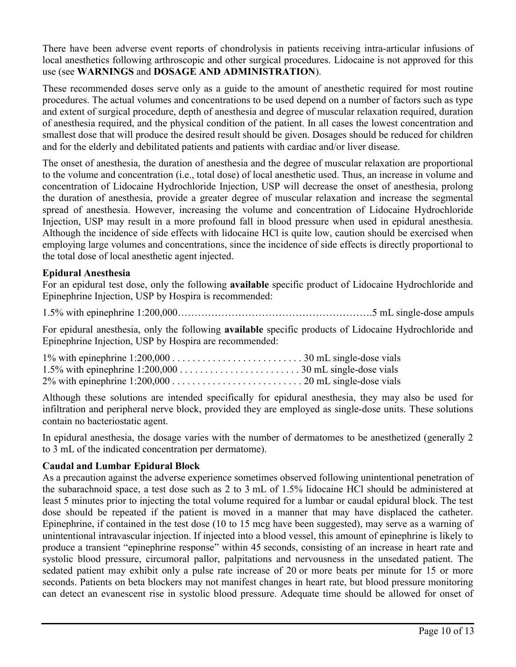There have been adverse event reports of chondrolysis in patients receiving intra-articular infusions of local anesthetics following arthroscopic and other surgical procedures. Lidocaine is not approved for this use (see **WARNINGS** and **DOSAGE AND ADMINISTRATION**).

These recommended doses serve only as a guide to the amount of anesthetic required for most routine procedures. The actual volumes and concentrations to be used depend on a number of factors such as type and extent of surgical procedure, depth of anesthesia and degree of muscular relaxation required, duration of anesthesia required, and the physical condition of the patient. In all cases the lowest concentration and smallest dose that will produce the desired result should be given. Dosages should be reduced for children and for the elderly and debilitated patients and patients with cardiac and/or liver disease.

The onset of anesthesia, the duration of anesthesia and the degree of muscular relaxation are proportional to the volume and concentration (i.e., total dose) of local anesthetic used. Thus, an increase in volume and concentration of Lidocaine Hydrochloride Injection, USP will decrease the onset of anesthesia, prolong the duration of anesthesia, provide a greater degree of muscular relaxation and increase the segmental spread of anesthesia. However, increasing the volume and concentration of Lidocaine Hydrochloride Injection, USP may result in a more profound fall in blood pressure when used in epidural anesthesia. Although the incidence of side effects with lidocaine HCl is quite low, caution should be exercised when employing large volumes and concentrations, since the incidence of side effects is directly proportional to the total dose of local anesthetic agent injected.

### **Epidural Anesthesia**

For an epidural test dose, only the following **available** specific product of Lidocaine Hydrochloride and Epinephrine Injection, USP by Hospira is recommended:

1.5% with epinephrine 1:200,000………………………………………………….5 mL single-dose ampuls

For epidural anesthesia, only the following **available** specific products of Lidocaine Hydrochloride and Epinephrine Injection, USP by Hospira are recommended:

Although these solutions are intended specifically for epidural anesthesia, they may also be used for infiltration and peripheral nerve block, provided they are employed as single-dose units. These solutions contain no bacteriostatic agent.

In epidural anesthesia, the dosage varies with the number of dermatomes to be anesthetized (generally 2 to 3 mL of the indicated concentration per dermatome).

## **Caudal and Lumbar Epidural Block**

As a precaution against the adverse experience sometimes observed following unintentional penetration of the subarachnoid space, a test dose such as 2 to 3 mL of 1.5% lidocaine HCl should be administered at least 5 minutes prior to injecting the total volume required for a lumbar or caudal epidural block. The test dose should be repeated if the patient is moved in a manner that may have displaced the catheter. Epinephrine, if contained in the test dose (10 to 15 mcg have been suggested), may serve as a warning of unintentional intravascular injection. If injected into a blood vessel, this amount of epinephrine is likely to produce a transient "epinephrine response" within 45 seconds, consisting of an increase in heart rate and systolic blood pressure, circumoral pallor, palpitations and nervousness in the unsedated patient. The sedated patient may exhibit only a pulse rate increase of 20 or more beats per minute for 15 or more seconds. Patients on beta blockers may not manifest changes in heart rate, but blood pressure monitoring can detect an evanescent rise in systolic blood pressure. Adequate time should be allowed for onset of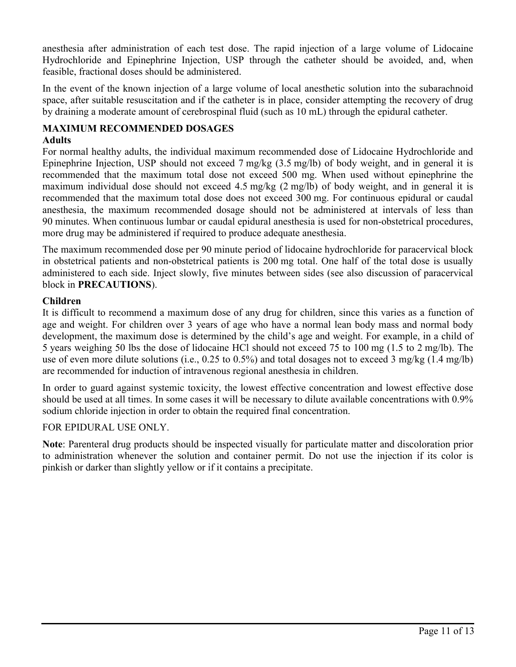anesthesia after administration of each test dose. The rapid injection of a large volume of Lidocaine Hydrochloride and Epinephrine Injection, USP through the catheter should be avoided, and, when feasible, fractional doses should be administered.

In the event of the known injection of a large volume of local anesthetic solution into the subarachnoid space, after suitable resuscitation and if the catheter is in place, consider attempting the recovery of drug by draining a moderate amount of cerebrospinal fluid (such as 10 mL) through the epidural catheter.

## **MAXIMUM RECOMMENDED DOSAGES**

## **Adults**

For normal healthy adults, the individual maximum recommended dose of Lidocaine Hydrochloride and Epinephrine Injection, USP should not exceed 7 mg/kg (3.5 mg/lb) of body weight, and in general it is recommended that the maximum total dose not exceed 500 mg. When used without epinephrine the maximum individual dose should not exceed 4.5 mg/kg (2 mg/lb) of body weight, and in general it is recommended that the maximum total dose does not exceed 300 mg. For continuous epidural or caudal anesthesia, the maximum recommended dosage should not be administered at intervals of less than 90 minutes. When continuous lumbar or caudal epidural anesthesia is used for non-obstetrical procedures, more drug may be administered if required to produce adequate anesthesia.

The maximum recommended dose per 90 minute period of lidocaine hydrochloride for paracervical block in obstetrical patients and non-obstetrical patients is 200 mg total. One half of the total dose is usually administered to each side. Inject slowly, five minutes between sides (see also discussion of paracervical block in **PRECAUTIONS**).

## **Children**

It is difficult to recommend a maximum dose of any drug for children, since this varies as a function of age and weight. For children over 3 years of age who have a normal lean body mass and normal body development, the maximum dose is determined by the child's age and weight. For example, in a child of 5 years weighing 50 lbs the dose of lidocaine HCl should not exceed 75 to 100 mg (1.5 to 2 mg/lb). The use of even more dilute solutions (i.e., 0.25 to 0.5%) and total dosages not to exceed 3 mg/kg (1.4 mg/lb) are recommended for induction of intravenous regional anesthesia in children.

In order to guard against systemic toxicity, the lowest effective concentration and lowest effective dose should be used at all times. In some cases it will be necessary to dilute available concentrations with 0.9% sodium chloride injection in order to obtain the required final concentration.

### FOR EPIDURAL USE ONLY.

**Note**: Parenteral drug products should be inspected visually for particulate matter and discoloration prior to administration whenever the solution and container permit. Do not use the injection if its color is pinkish or darker than slightly yellow or if it contains a precipitate.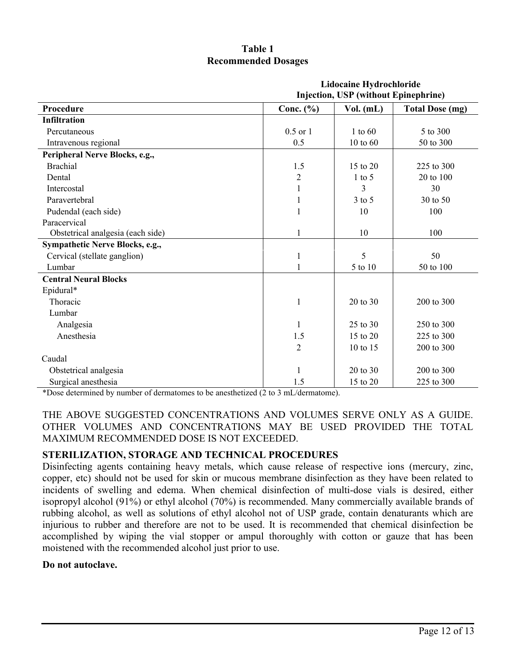## **Table 1 Recommended Dosages**

| Lidocaine Hydrochloride                     |                |                     |                        |
|---------------------------------------------|----------------|---------------------|------------------------|
| <b>Injection, USP</b> (without Epinephrine) |                |                     |                        |
| Procedure                                   | Conc. $(\% )$  | Vol. (mL)           | <b>Total Dose (mg)</b> |
| <b>Infiltration</b>                         |                |                     |                        |
| Percutaneous                                | $0.5$ or $1$   | 1 to $60$           | 5 to 300               |
| Intravenous regional                        | 0.5            | 10 to 60            | 50 to 300              |
| Peripheral Nerve Blocks, e.g.,              |                |                     |                        |
| <b>Brachial</b>                             | 1.5            | 15 to 20            | 225 to 300             |
| Dental                                      | $\overline{2}$ | $1$ to 5            | 20 to 100              |
| Intercostal                                 | 1              | 3                   | 30                     |
| Paravertebral                               | 1              | $3$ to $5$          | 30 to 50               |
| Pudendal (each side)                        | $\mathbf{1}$   | 10                  | 100                    |
| Paracervical                                |                |                     |                        |
| Obstetrical analgesia (each side)           | 1              | 10                  | 100                    |
| Sympathetic Nerve Blocks, e.g.,             |                |                     |                        |
| Cervical (stellate ganglion)                | $\mathbf{1}$   | 5                   | 50                     |
| Lumbar                                      | 1              | 5 to 10             | 50 to 100              |
| <b>Central Neural Blocks</b>                |                |                     |                        |
| Epidural*                                   |                |                     |                        |
| Thoracic                                    | $\mathbf{1}$   | $20 \text{ to } 30$ | 200 to 300             |
| Lumbar                                      |                |                     |                        |
| Analgesia                                   | 1              | 25 to 30            | 250 to 300             |
| Anesthesia                                  | 1.5            | 15 to 20            | 225 to 300             |
|                                             | $\overline{2}$ | 10 to 15            | 200 to 300             |
| Caudal                                      |                |                     |                        |
| Obstetrical analgesia                       | 1              | 20 to 30            | 200 to 300             |
| Surgical anesthesia                         | 1.5            | 15 to 20            | 225 to 300             |

\*Dose determined by number of dermatomes to be anesthetized (2 to 3 mL/dermatome).

THE ABOVE SUGGESTED CONCENTRATIONS AND VOLUMES SERVE ONLY AS A GUIDE. OTHER VOLUMES AND CONCENTRATIONS MAY BE USED PROVIDED THE TOTAL MAXIMUM RECOMMENDED DOSE IS NOT EXCEEDED.

#### **STERILIZATION, STORAGE AND TECHNICAL PROCEDURES**

Disinfecting agents containing heavy metals, which cause release of respective ions (mercury, zinc, copper, etc) should not be used for skin or mucous membrane disinfection as they have been related to incidents of swelling and edema. When chemical disinfection of multi-dose vials is desired, either isopropyl alcohol (91%) or ethyl alcohol (70%) is recommended. Many commercially available brands of rubbing alcohol, as well as solutions of ethyl alcohol not of USP grade, contain denaturants which are injurious to rubber and therefore are not to be used. It is recommended that chemical disinfection be accomplished by wiping the vial stopper or ampul thoroughly with cotton or gauze that has been moistened with the recommended alcohol just prior to use.

#### **Do not autoclave.**